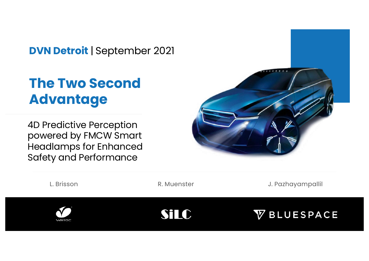**DVN Detroit** | September 2021

# **The Two Second Advantage**

4D Predictive Perception powered by FMCW Smart Headlamps for Enhanced Safety and Performance



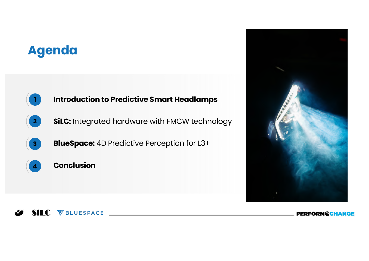# **Agenda**





####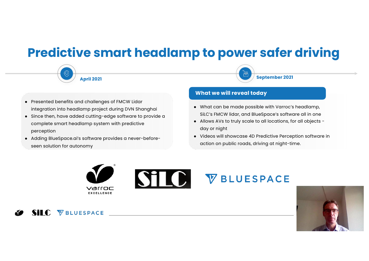### **Predictive smart headlamp to power safer driving**



SILC **VBLUESPACE** 



**September 2021**

- Presented benefits and challenges of FMCW Lidar integration into headlamp project during DVN Shanghai
- Since then, have added cutting-edge software to provide a complete smart headlamp system with predictive perception
- Adding BlueSpace.ai's software provides a never-beforeseen solution for autonomy

#### c **What we will reveal today**

- What can be made possible with Varroc's headlamp, SiLC's FMCW lidar, and BlueSpace's software all in one
- Allows AVs to truly scale to all locations, for all objects day or night
- Videos will showcase 4D Predictive Perception software in action on public roads, driving at night-time.



# STO VBLUESPACE

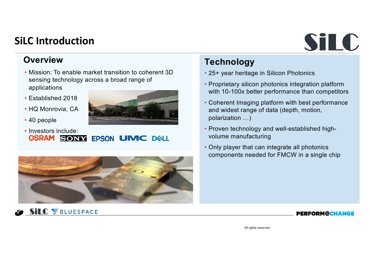#### **SiLC Introduction**

# SiLC

#### **Overview**

- Mission: To enable market transition to coherent 3D sensing technology across a broad range of applications
- Established 2018
- HQ Monrovia, CA

**SILC VBLUESPACE** 

• 40 people





#### **Technology**

- 25+ year heritage in Silicon Photonics
- Proprietary silicon photonics integration platform with 10-100x better performance than competitors
- Coherent Imaging platform with best performance and widest range of data (depth, motion, polarization …)
- Proven technology and well-established highvolume manufacturing
- Only player that can integrate all photonics components needed for FMCW in a single chip

#### **PERFORM@CHANGE**

All rights reserved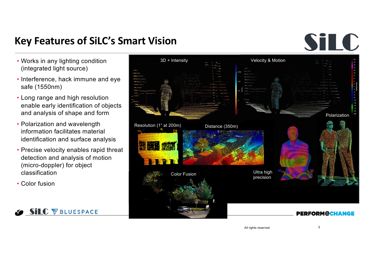#### **Key Features of SiLC's Smart Vision**

# SiLC

- Works in any lighting condition (integrated light source)
- Interference, hack immune and eye safe (1550nm)
- Long range and high resolution enable early identification of objects and analysis of shape and form
- Polarization and wavelength information facilitates material identification and surface analysis
- Precise velocity enables rapid threat detection and analysis of motion (micro-doppler) for object classification
- Color fusion





All rights reserved 5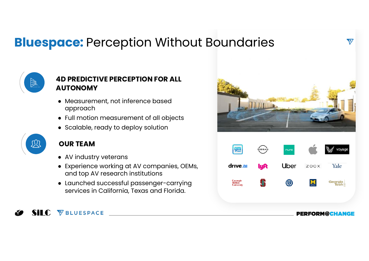# **Bluespace: Perception Without Boundaries**



#### **4D PREDICTIVE PERCEPTION FOR ALL AUTONOMY**

- Measurement, not inference based approach
- Full motion measurement of all objects
- Scalable, ready to deploy solution



#### **OUR TEAM**

Sil C **VBLUESPACE** 

- AV industry veterans
- Experience working at AV companies, OEMs, and top AV research institutions
- Launched successful passenger-carrying services in California, Texas and Florida.





 $\overline{\mathbf{v}}$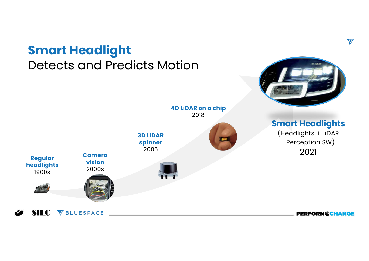#### **Smart Headlight** Detects and Predicts Motion **4D LiDAR on a chip** 2018 **Smart Headlights**  (Headlights + LiDAR **3D LiDAR**  +Perception SW) **spinner** 2005 2021 **Camera Regular vision headlights** 2000s 1900s **SILC** *VBLUESPACE*

N.

 $\overline{\mathbf{v}}$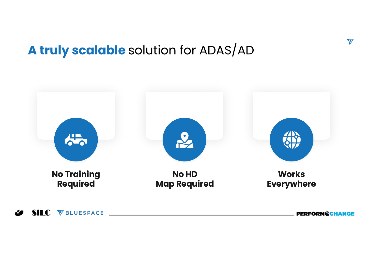# **A truly scalable** solution for ADAS/AD



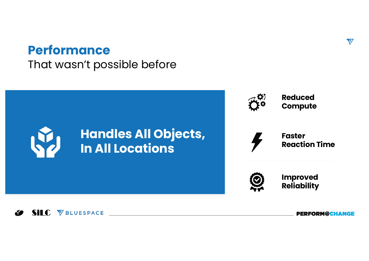## **Performance**

That wasn't possible before



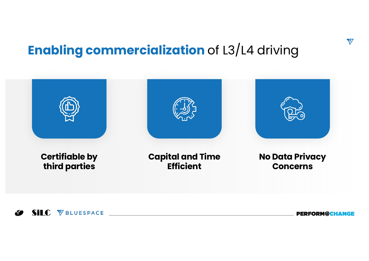# **Enabling commercialization** of L3/L4 driving

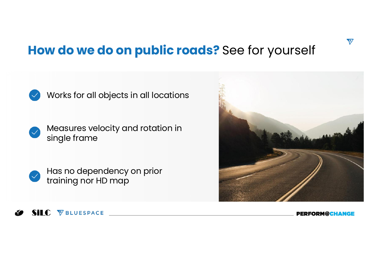# **How do we do on public roads?** See for yourself



Works for all objects in all locations

Measures velocity and rotation in single frame



Has no dependency on prior training nor HD map



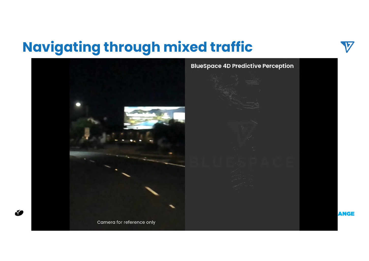# **Navigating through mixed traffic**

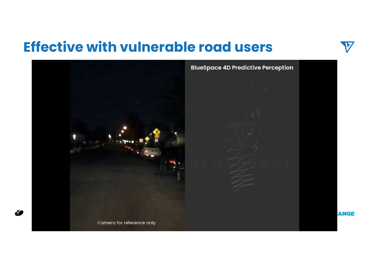# **Effective with vulnerable road users**

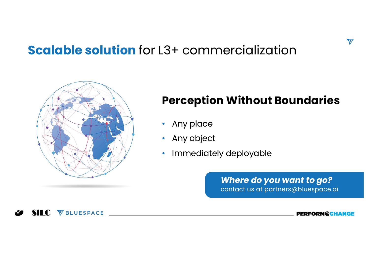## **Scalable solution** for L3+ commercialization



### **Perception Without Boundaries**

- Any place
- Any object
- Immediately deployable

*Where do you want to go?* contact us at partners@bluespace.ai  $\overline{\mathbf{v}}$ 

SILC VBLUESPACE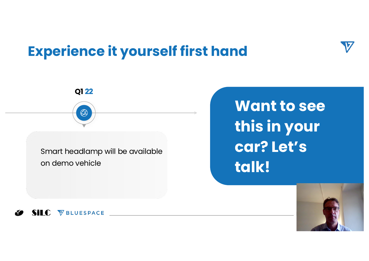# **Experience it yourself first hand**

Smart headlamp will be available on demo vehicle

**Q1 22**

# **Want to see this in your car? Let's talk!**



SILC **VBLUESPACE**